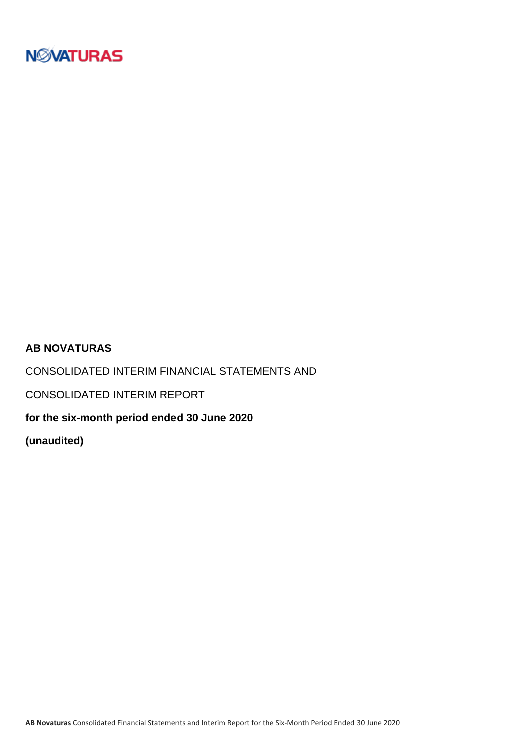

## **AB NOVATURAS**

CONSOLIDATED INTERIM FINANCIAL STATEMENTS AND

CONSOLIDATED INTERIM REPORT

**for the six-month period ended 30 June 2020**

**(unaudited)**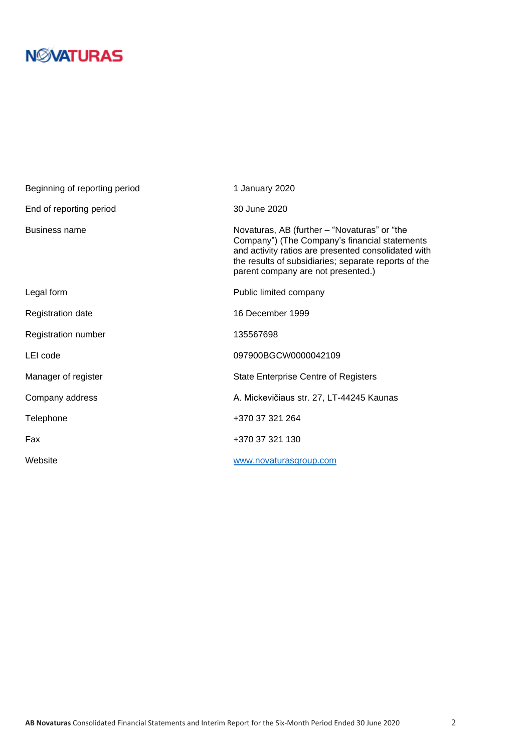# **N***N***XATURAS**

| Beginning of reporting period | 1 January 2020                                                                                                                                                                                                                                     |
|-------------------------------|----------------------------------------------------------------------------------------------------------------------------------------------------------------------------------------------------------------------------------------------------|
| End of reporting period       | 30 June 2020                                                                                                                                                                                                                                       |
| <b>Business name</b>          | Novaturas, AB (further – "Novaturas" or "the<br>Company") (The Company's financial statements<br>and activity ratios are presented consolidated with<br>the results of subsidiaries; separate reports of the<br>parent company are not presented.) |
| Legal form                    | Public limited company                                                                                                                                                                                                                             |
| <b>Registration date</b>      | 16 December 1999                                                                                                                                                                                                                                   |
| Registration number           | 135567698                                                                                                                                                                                                                                          |
| LEI code                      | 097900BGCW0000042109                                                                                                                                                                                                                               |
| Manager of register           | <b>State Enterprise Centre of Registers</b>                                                                                                                                                                                                        |
| Company address               | A. Mickevičiaus str. 27, LT-44245 Kaunas                                                                                                                                                                                                           |
| Telephone                     | +370 37 321 264                                                                                                                                                                                                                                    |
| Fax                           | +370 37 321 130                                                                                                                                                                                                                                    |
| Website                       | www.novaturasgroup.com                                                                                                                                                                                                                             |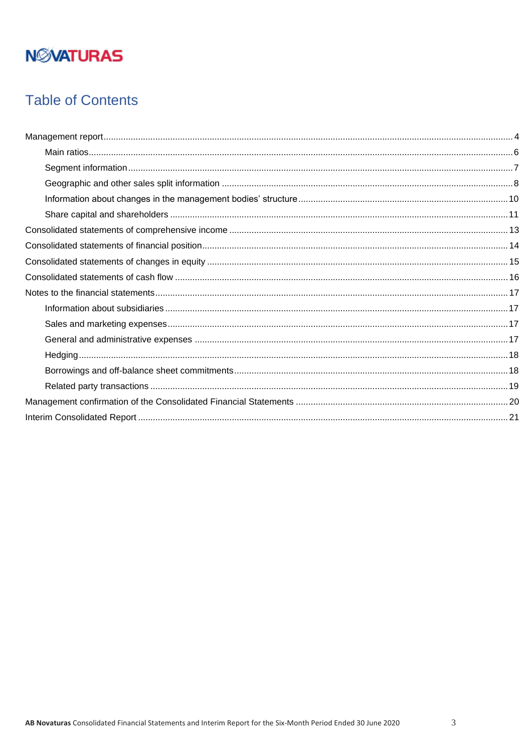# **NMATURAS**

# **Table of Contents**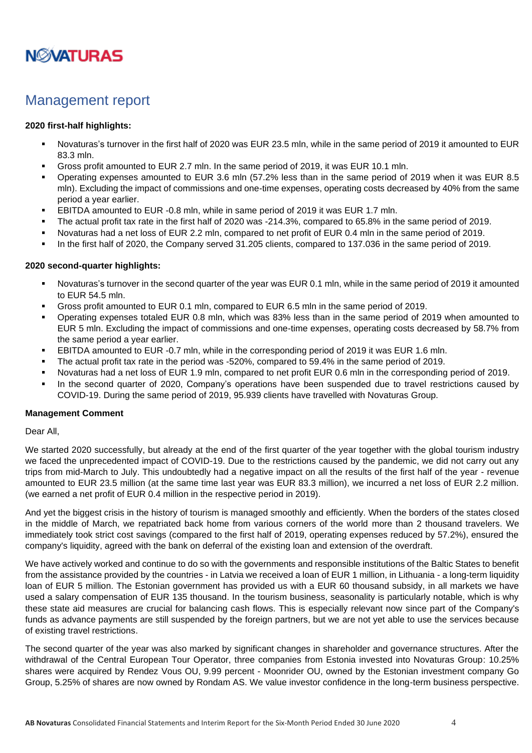

## <span id="page-3-0"></span>Management report

### **2020 first-half highlights:**

- Novaturas's turnover in the first half of 2020 was EUR 23.5 mln, while in the same period of 2019 it amounted to EUR 83.3 mln.
- Gross profit amounted to EUR 2.7 mln. In the same period of 2019, it was EUR 10.1 mln.
- Operating expenses amounted to EUR 3.6 mln (57.2% less than in the same period of 2019 when it was EUR 8.5 mln). Excluding the impact of commissions and one-time expenses, operating costs decreased by 40% from the same period a year earlier.
- **EBITDA amounted to EUR -0.8 mln, while in same period of 2019 it was EUR 1.7 mln.**
- The actual profit tax rate in the first half of 2020 was -214.3%, compared to 65.8% in the same period of 2019.
- Novaturas had a net loss of EUR 2.2 mln, compared to net profit of EUR 0.4 mln in the same period of 2019.
- In the first half of 2020, the Company served 31.205 clients, compared to 137.036 in the same period of 2019.

### **2020 second-quarter highlights:**

- Novaturas's turnover in the second quarter of the year was EUR 0.1 mln, while in the same period of 2019 it amounted to EUR 54.5 mln.
- Gross profit amounted to EUR 0.1 mln, compared to EUR 6.5 mln in the same period of 2019.
- Operating expenses totaled EUR 0.8 mln, which was 83% less than in the same period of 2019 when amounted to EUR 5 mln. Excluding the impact of commissions and one-time expenses, operating costs decreased by 58.7% from the same period a year earlier.
- **EBITDA amounted to EUR -0.7 mln, while in the corresponding period of 2019 it was EUR 1.6 mln.**
- The actual profit tax rate in the period was -520%, compared to 59.4% in the same period of 2019.
- Novaturas had a net loss of EUR 1.9 mln, compared to net profit EUR 0.6 mln in the corresponding period of 2019.
- In the second quarter of 2020, Company's operations have been suspended due to travel restrictions caused by COVID-19. During the same period of 2019, 95.939 clients have travelled with Novaturas Group.

### **Management Comment**

### Dear All,

We started 2020 successfully, but already at the end of the first quarter of the year together with the global tourism industry we faced the unprecedented impact of COVID-19. Due to the restrictions caused by the pandemic, we did not carry out any trips from mid-March to July. This undoubtedly had a negative impact on all the results of the first half of the year - revenue amounted to EUR 23.5 million (at the same time last year was EUR 83.3 million), we incurred a net loss of EUR 2.2 million. (we earned a net profit of EUR 0.4 million in the respective period in 2019).

And yet the biggest crisis in the history of tourism is managed smoothly and efficiently. When the borders of the states closed in the middle of March, we repatriated back home from various corners of the world more than 2 thousand travelers. We immediately took strict cost savings (compared to the first half of 2019, operating expenses reduced by 57.2%), ensured the company's liquidity, agreed with the bank on deferral of the existing loan and extension of the overdraft.

We have actively worked and continue to do so with the governments and responsible institutions of the Baltic States to benefit from the assistance provided by the countries - in Latvia we received a loan of EUR 1 million, in Lithuania - a long-term liquidity loan of EUR 5 million. The Estonian government has provided us with a EUR 60 thousand subsidy, in all markets we have used a salary compensation of EUR 135 thousand. In the tourism business, seasonality is particularly notable, which is why these state aid measures are crucial for balancing cash flows. This is especially relevant now since part of the Company's funds as advance payments are still suspended by the foreign partners, but we are not yet able to use the services because of existing travel restrictions.

The second quarter of the year was also marked by significant changes in shareholder and governance structures. After the withdrawal of the Central European Tour Operator, three companies from Estonia invested into Novaturas Group: 10.25% shares were acquired by Rendez Vous OU, 9.99 percent - Moonrider OU, owned by the Estonian investment company Go Group, 5.25% of shares are now owned by Rondam AS. We value investor confidence in the long-term business perspective.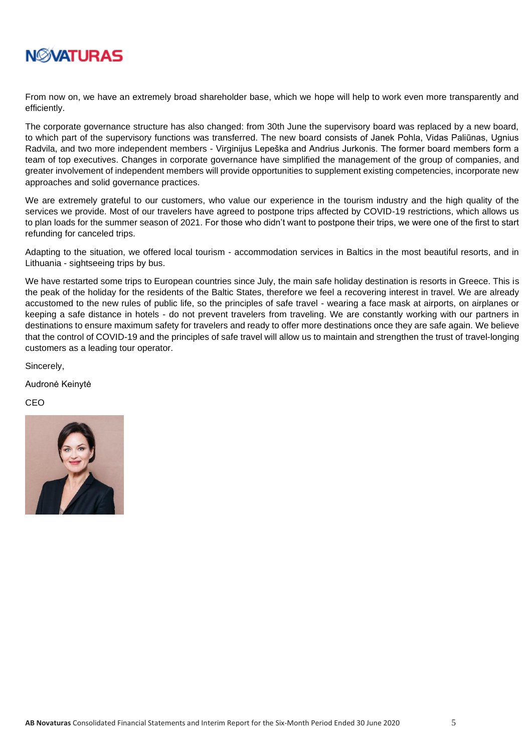

From now on, we have an extremely broad shareholder base, which we hope will help to work even more transparently and efficiently.

The corporate governance structure has also changed: from 30th June the supervisory board was replaced by a new board, to which part of the supervisory functions was transferred. The new board consists of Janek Pohla, Vidas Paliūnas, Ugnius Radvila, and two more independent members - Virginijus Lepeška and Andrius Jurkonis. The former board members form a team of top executives. Changes in corporate governance have simplified the management of the group of companies, and greater involvement of independent members will provide opportunities to supplement existing competencies, incorporate new approaches and solid governance practices.

We are extremely grateful to our customers, who value our experience in the tourism industry and the high quality of the services we provide. Most of our travelers have agreed to postpone trips affected by COVID-19 restrictions, which allows us to plan loads for the summer season of 2021. For those who didn't want to postpone their trips, we were one of the first to start refunding for canceled trips.

Adapting to the situation, we offered local tourism - accommodation services in Baltics in the most beautiful resorts, and in Lithuania - sightseeing trips by bus.

We have restarted some trips to European countries since July, the main safe holiday destination is resorts in Greece. This is the peak of the holiday for the residents of the Baltic States, therefore we feel a recovering interest in travel. We are already accustomed to the new rules of public life, so the principles of safe travel - wearing a face mask at airports, on airplanes or keeping a safe distance in hotels - do not prevent travelers from traveling. We are constantly working with our partners in destinations to ensure maximum safety for travelers and ready to offer more destinations once they are safe again. We believe that the control of COVID-19 and the principles of safe travel will allow us to maintain and strengthen the trust of travel-longing customers as a leading tour operator.

Sincerely,

Audronė Keinytė

CEO

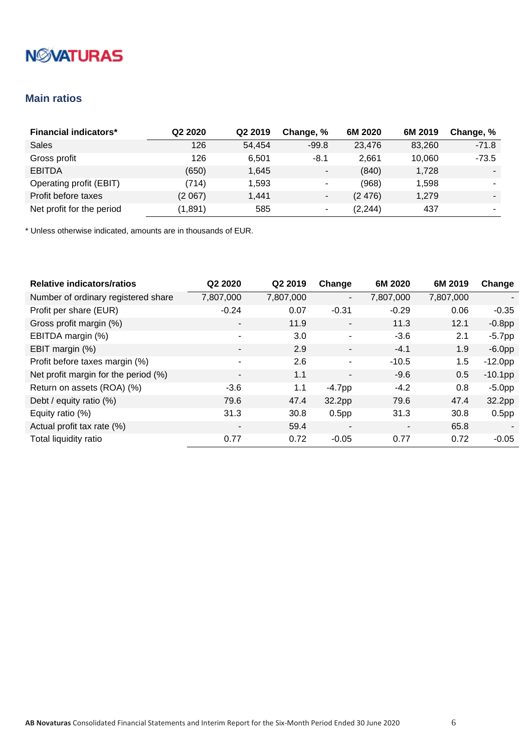# **NMATURAS**

## <span id="page-5-0"></span>**Main ratios**

| <b>Financial indicators*</b> | Q <sub>2</sub> 2020 | Q <sub>2</sub> 2019 | Change, %                | 6M 2020  | 6M 2019 | Change, % |
|------------------------------|---------------------|---------------------|--------------------------|----------|---------|-----------|
| <b>Sales</b>                 | 126                 | 54,454              | $-99.8$                  | 23,476   | 83,260  | $-71.8$   |
| Gross profit                 | 126                 | 6.501               | $-8.1$                   | 2,661    | 10.060  | $-73.5$   |
| <b>EBITDA</b>                | (650)               | 1,645               | $\overline{\phantom{a}}$ | (840)    | 1,728   |           |
| Operating profit (EBIT)      | (714)               | 1,593               | ٠                        | (968)    | 1,598   |           |
| Profit before taxes          | (2067)              | 1,441               | $\overline{\phantom{a}}$ | (2476)   | 1,279   |           |
| Net profit for the period    | (1,891)             | 585                 | $\overline{\phantom{a}}$ | (2, 244) | 437     |           |

| <b>Relative indicators/ratios</b>    | Q2 2020                  | Q2 2019   | Change                   | 6M 2020                  | 6M 2019   | Change            |
|--------------------------------------|--------------------------|-----------|--------------------------|--------------------------|-----------|-------------------|
| Number of ordinary registered share  | 7,807,000                | 7,807,000 | $\overline{\phantom{a}}$ | 7,807,000                | 7,807,000 | -                 |
| Profit per share (EUR)               | $-0.24$                  | 0.07      | $-0.31$                  | $-0.29$                  | 0.06      | $-0.35$           |
| Gross profit margin (%)              | $\overline{\phantom{a}}$ | 11.9      | $\overline{\phantom{a}}$ | 11.3                     | 12.1      | $-0.8$ pp         |
| EBITDA margin (%)                    | ۰                        | 3.0       | $\blacksquare$           | $-3.6$                   | 2.1       | $-5.7$ pp         |
| EBIT margin (%)                      | $\overline{\phantom{a}}$ | 2.9       | $\overline{\phantom{a}}$ | $-4.1$                   | 1.9       | $-6.0pp$          |
| Profit before taxes margin (%)       | ٠                        | 2.6       | $\blacksquare$           | $-10.5$                  | 1.5       | $-12.0pp$         |
| Net profit margin for the period (%) | -                        | 1.1       | $\blacksquare$           | $-9.6$                   | 0.5       | $-10.1$ pp        |
| Return on assets (ROA) (%)           | $-3.6$                   | 1.1       | $-4.7$ pp                | $-4.2$                   | 0.8       | $-5.0pp$          |
| Debt / equity ratio (%)              | 79.6                     | 47.4      | 32.2pp                   | 79.6                     | 47.4      | 32.2pp            |
| Equity ratio (%)                     | 31.3                     | 30.8      | 0.5 <sub>pp</sub>        | 31.3                     | 30.8      | 0.5 <sub>pp</sub> |
| Actual profit tax rate (%)           | $\overline{\phantom{a}}$ | 59.4      | $\blacksquare$           | $\overline{\phantom{a}}$ | 65.8      |                   |
| Total liquidity ratio                | 0.77                     | 0.72      | $-0.05$                  | 0.77                     | 0.72      | $-0.05$           |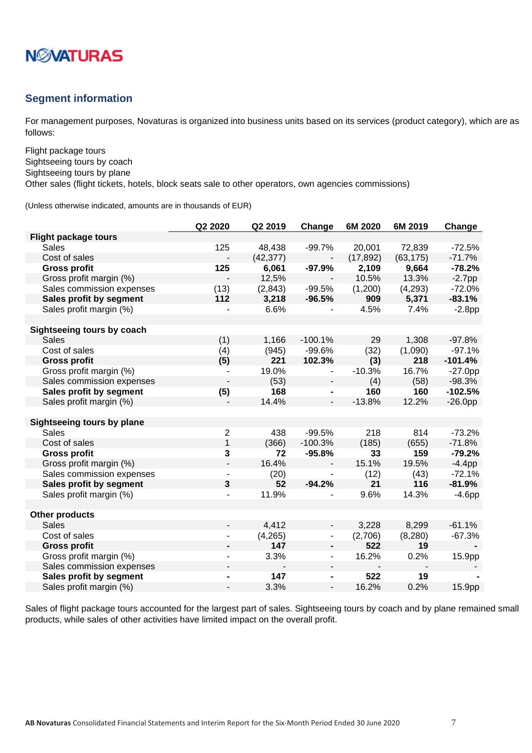

### <span id="page-6-0"></span>**Segment information**

For management purposes, Novaturas is organized into business units based on its services (product category), which are as follows:

Flight package tours Sightseeing tours by coach Sightseeing tours by plane

Other sales (flight tickets, hotels, block seats sale to other operators, own agencies commissions)

(Unless otherwise indicated, amounts are in thousands of EUR)

|                             | Q2 2020                      | Q2 2019   | Change                       | 6M 2020   | 6M 2019   | Change    |
|-----------------------------|------------------------------|-----------|------------------------------|-----------|-----------|-----------|
| <b>Flight package tours</b> |                              |           |                              |           |           |           |
| <b>Sales</b>                | 125                          | 48,438    | $-99.7%$                     | 20,001    | 72,839    | $-72.5%$  |
| Cost of sales               |                              | (42, 377) |                              | (17, 892) | (63, 175) | $-71.7%$  |
| <b>Gross profit</b>         | 125                          | 6,061     | $-97.9%$                     | 2,109     | 9,664     | $-78.2%$  |
| Gross profit margin (%)     |                              | 12,5%     |                              | 10.5%     | 13.3%     | $-2.7$ pp |
| Sales commission expenses   | (13)                         | (2,843)   | $-99.5%$                     | (1,200)   | (4,293)   | $-72.0%$  |
| Sales profit by segment     | 112                          | 3,218     | $-96.5%$                     | 909       | 5,371     | $-83.1%$  |
| Sales profit margin (%)     |                              | 6.6%      |                              | 4.5%      | 7.4%      | $-2.8pp$  |
|                             |                              |           |                              |           |           |           |
| Sightseeing tours by coach  |                              |           |                              |           |           |           |
| <b>Sales</b>                | (1)                          | 1,166     | $-100.1%$                    | 29        | 1,308     | $-97.8%$  |
| Cost of sales               | (4)                          | (945)     | $-99.6%$                     | (32)      | (1,090)   | $-97.1%$  |
| <b>Gross profit</b>         | (5)                          | 221       | 102.3%                       | (3)       | 218       | $-101.4%$ |
| Gross profit margin (%)     | ٠                            | 19.0%     | $\overline{\phantom{a}}$     | $-10.3%$  | 16.7%     | $-27.0pp$ |
| Sales commission expenses   |                              | (53)      | Ξ.                           | (4)       | (58)      | $-98.3%$  |
| Sales profit by segment     | (5)                          | 168       | $\blacksquare$               | 160       | 160       | $-102.5%$ |
| Sales profit margin (%)     | $\overline{a}$               | 14.4%     | $\overline{\phantom{a}}$     | $-13.8%$  | 12.2%     | $-26.0pp$ |
|                             |                              |           |                              |           |           |           |
| Sightseeing tours by plane  |                              |           |                              |           |           |           |
| <b>Sales</b>                | $\overline{c}$               | 438       | $-99.5%$                     | 218       | 814       | $-73.2%$  |
| Cost of sales               | $\mathbf{1}$                 | (366)     | $-100.3%$                    | (185)     | (655)     | $-71.8%$  |
| <b>Gross profit</b>         | 3                            | 72        | $-95.8%$                     | 33        | 159       | $-79.2%$  |
| Gross profit margin (%)     | L.                           | 16.4%     | $\overline{\phantom{a}}$     | 15.1%     | 19.5%     | $-4.4$ pp |
| Sales commission expenses   |                              | (20)      | $\blacksquare$               | (12)      | (43)      | $-72.1%$  |
| Sales profit by segment     | 3                            | 52        | $-94.2%$                     | 21        | 116       | $-81.9%$  |
| Sales profit margin (%)     |                              | 11.9%     | $\qquad \qquad \blacksquare$ | 9.6%      | 14.3%     | $-4.6pp$  |
|                             |                              |           |                              |           |           |           |
| <b>Other products</b>       |                              |           |                              |           |           |           |
| <b>Sales</b>                |                              | 4,412     | $\overline{\phantom{0}}$     | 3,228     | 8,299     | $-61.1%$  |
| Cost of sales               | $\qquad \qquad \blacksquare$ | (4, 265)  | -                            | (2,706)   | (8, 280)  | $-67.3%$  |
| <b>Gross profit</b>         | $\blacksquare$               | 147       | $\blacksquare$               | 522       | 19        |           |
| Gross profit margin (%)     | $\overline{\phantom{a}}$     | 3.3%      | ٠                            | 16.2%     | 0.2%      | 15.9pp    |
| Sales commission expenses   |                              |           |                              |           |           |           |
| Sales profit by segment     |                              | 147       | -                            | 522       | 19        |           |
| Sales profit margin (%)     |                              | 3.3%      | ÷,                           | 16.2%     | 0.2%      | 15.9pp    |

Sales of flight package tours accounted for the largest part of sales. Sightseeing tours by coach and by plane remained small products, while sales of other activities have limited impact on the overall profit.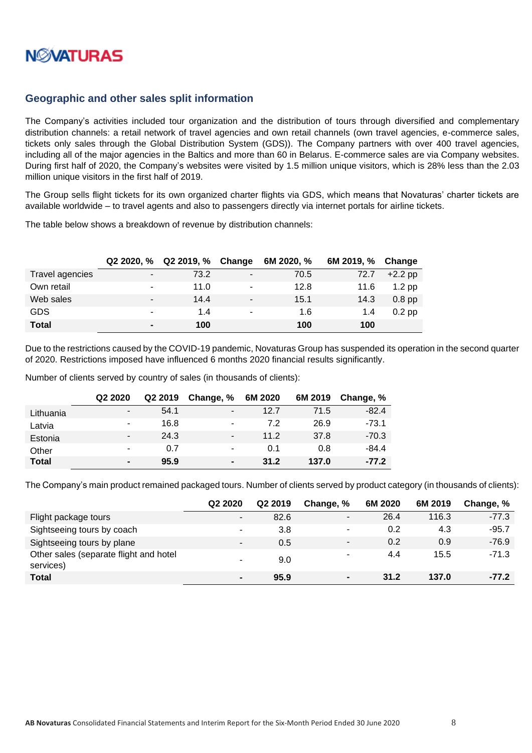

## <span id="page-7-0"></span>**Geographic and other sales split information**

The Company's activities included tour organization and the distribution of tours through diversified and complementary distribution channels: a retail network of travel agencies and own retail channels (own travel agencies, e-commerce sales, tickets only sales through the Global Distribution System (GDS)). The Company partners with over 400 travel agencies, including all of the major agencies in the Baltics and more than 60 in Belarus. E-commerce sales are via Company websites. During first half of 2020, the Company's websites were visited by 1.5 million unique visitors, which is 28% less than the 2.03 million unique visitors in the first half of 2019.

The Group sells flight tickets for its own organized charter flights via GDS, which means that Novaturas' charter tickets are available worldwide – to travel agents and also to passengers directly via internet portals for airline tickets.

The table below shows a breakdown of revenue by distribution channels:

|                 | $Q22020.$ %    | Q2 2019, % | Change | 6M 2020, % | 6M 2019, % | Change    |
|-----------------|----------------|------------|--------|------------|------------|-----------|
| Travel agencies | $\blacksquare$ | 73.2       | ۰      | 70.5       | 72.7       | $+2.2$ pp |
| Own retail      | ٠              | 11.0       |        | 12.8       | 11.6       | $1.2$ pp  |
| Web sales       |                | 14.4       | -      | 15.1       | 14.3       | $0.8$ pp  |
| <b>GDS</b>      | ۰              | 1.4        | ۰      | 1.6        | 1.4        | $0.2$ pp  |
| <b>Total</b>    | $\blacksquare$ | 100        |        | 100        | 100        |           |

Due to the restrictions caused by the COVID-19 pandemic, Novaturas Group has suspended its operation in the second quarter of 2020. Restrictions imposed have influenced 6 months 2020 financial results significantly.

Number of clients served by country of sales (in thousands of clients):

|              | Q <sub>2</sub> 2020 | Q2 2019 | Change, %      | 6M 2020 | 6M 2019 | Change, % |
|--------------|---------------------|---------|----------------|---------|---------|-----------|
| Lithuania    | ۰                   | 54.1    | -              | 12.7    | 71.5    | $-82.4$   |
| Latvia       | ۰                   | 16.8    | -              | 7.2     | 26.9    | $-73.1$   |
| Estonia      | ۰                   | 24.3    | ۰              | 11.2    | 37.8    | $-70.3$   |
| Other        |                     | 0.7     | -              | 0.1     | 0.8     | $-84.4$   |
| <b>Total</b> | $\blacksquare$      | 95.9    | $\blacksquare$ | 31.2    | 137.0   | $-77.2$   |

The Company's main product remained packaged tours. Number of clients served by product category (in thousands of clients):

|                                                     | Q <sub>2</sub> 2020      | Q2 2019 | Change, %      | 6M 2020 | 6M 2019 | Change, % |
|-----------------------------------------------------|--------------------------|---------|----------------|---------|---------|-----------|
| Flight package tours                                | $\overline{\phantom{a}}$ | 82.6    | ٠              | 26.4    | 116.3   | $-77.3$   |
| Sightseeing tours by coach                          | ۰                        | 3.8     | -              | 0.2     | 4.3     | $-95.7$   |
| Sightseeing tours by plane                          | $\overline{\phantom{a}}$ | 0.5     |                | 0.2     | 0.9     | $-76.9$   |
| Other sales (separate flight and hotel<br>services) |                          | 9.0     |                | 4.4     | 15.5    | $-71.3$   |
| <b>Total</b>                                        | $\blacksquare$           | 95.9    | $\blacksquare$ | 31.2    | 137.0   | $-77.2$   |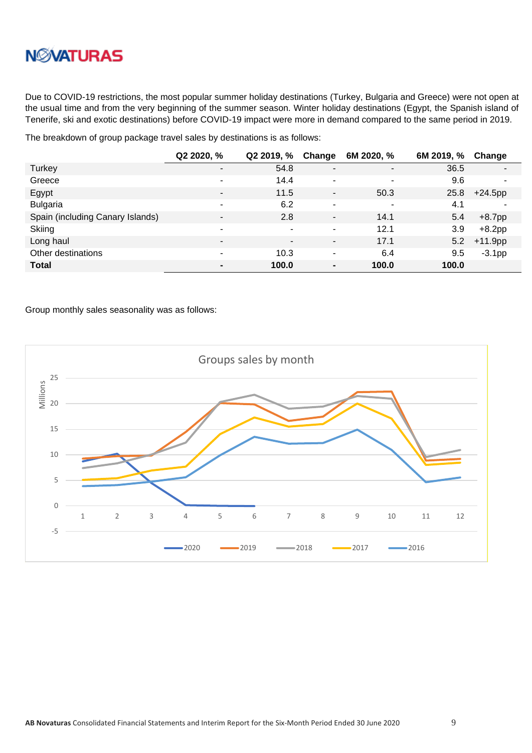

Due to COVID-19 restrictions, the most popular summer holiday destinations (Turkey, Bulgaria and Greece) were not open at the usual time and from the very beginning of the summer season. Winter holiday destinations (Egypt, the Spanish island of Tenerife, ski and exotic destinations) before COVID-19 impact were more in demand compared to the same period in 2019.

The breakdown of group package travel sales by destinations is as follows:

|                                  | Q2 2020, %               | Q2 2019, %     | Change                       | 6M 2020, %     | 6M 2019, % | Change         |
|----------------------------------|--------------------------|----------------|------------------------------|----------------|------------|----------------|
| Turkey                           | ۰                        | 54.8           | $\blacksquare$               | $\blacksquare$ | 36.5       | $\blacksquare$ |
| Greece                           | ۰                        | 14.4           | ۰                            | ٠              | 9.6        | $\blacksquare$ |
| Egypt                            | $\overline{\phantom{a}}$ | 11.5           | $\qquad \qquad \blacksquare$ | 50.3           | 25.8       | $+24.5$ pp     |
| <b>Bulgaria</b>                  | ۰                        | 6.2            | ٠                            | ٠              | 4.1        | $\blacksquare$ |
| Spain (including Canary Islands) | $\blacksquare$           | 2.8            | $\overline{\phantom{a}}$     | 14.1           | 5.4        | $+8.7$ pp      |
| Skiing                           | ۰                        | -              | ۰                            | 12.1           | 3.9        | $+8.2$ pp      |
| Long haul                        | $\blacksquare$           | $\blacksquare$ | $\blacksquare$               | 17.1           | 5.2        | $+11.9$ pp     |
| Other destinations               | ٠                        | 10.3           | ٠                            | 6.4            | 9.5        | $-3.1pp$       |
| <b>Total</b>                     | $\blacksquare$           | 100.0          | $\blacksquare$               | 100.0          | 100.0      |                |

Group monthly sales seasonality was as follows:

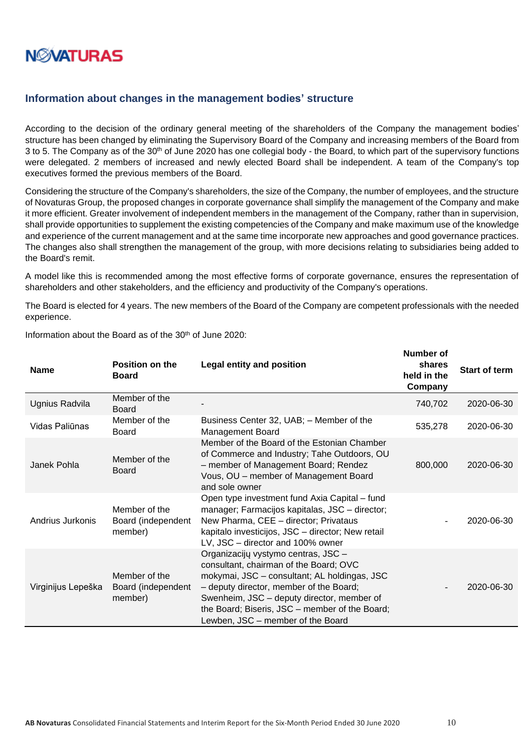

### <span id="page-9-0"></span>**Information about changes in the management bodies' structure**

According to the decision of the ordinary general meeting of the shareholders of the Company the management bodies' structure has been changed by eliminating the Supervisory Board of the Company and increasing members of the Board from 3 to 5. The Company as of the 30<sup>th</sup> of June 2020 has one collegial body - the Board, to which part of the supervisory functions were delegated. 2 members of increased and newly elected Board shall be independent. A team of the Company's top executives formed the previous members of the Board.

Considering the structure of the Company's shareholders, the size of the Company, the number of employees, and the structure of Novaturas Group, the proposed changes in corporate governance shall simplify the management of the Company and make it more efficient. Greater involvement of independent members in the management of the Company, rather than in supervision, shall provide opportunities to supplement the existing competencies of the Company and make maximum use of the knowledge and experience of the current management and at the same time incorporate new approaches and good governance practices. The changes also shall strengthen the management of the group, with more decisions relating to subsidiaries being added to the Board's remit.

A model like this is recommended among the most effective forms of corporate governance, ensures the representation of shareholders and other stakeholders, and the efficiency and productivity of the Company's operations.

The Board is elected for 4 years. The new members of the Board of the Company are competent professionals with the needed experience.

| <b>Name</b>        | Position on the<br><b>Board</b>                | <b>Legal entity and position</b>                                                                                                                                                                                                                                                                              | וע וטעווווטו<br>shares<br>held in the<br>Company | <b>Start of term</b> |
|--------------------|------------------------------------------------|---------------------------------------------------------------------------------------------------------------------------------------------------------------------------------------------------------------------------------------------------------------------------------------------------------------|--------------------------------------------------|----------------------|
| Ugnius Radvila     | Member of the<br><b>Board</b>                  |                                                                                                                                                                                                                                                                                                               | 740,702                                          | 2020-06-30           |
| Vidas Paliūnas     | Member of the<br><b>Board</b>                  | Business Center 32, UAB; - Member of the<br><b>Management Board</b>                                                                                                                                                                                                                                           | 535,278                                          | 2020-06-30           |
| Janek Pohla        | Member of the<br><b>Board</b>                  | Member of the Board of the Estonian Chamber<br>of Commerce and Industry; Tahe Outdoors, OU<br>- member of Management Board; Rendez<br>Vous, OU - member of Management Board<br>and sole owner                                                                                                                 | 800,000                                          | 2020-06-30           |
| Andrius Jurkonis   | Member of the<br>Board (independent<br>member) | Open type investment fund Axia Capital – fund<br>manager; Farmacijos kapitalas, JSC - director;<br>New Pharma, CEE - director; Privataus<br>kapitalo investicijos, JSC - director; New retail<br>LV, JSC - director and 100% owner                                                                            |                                                  | 2020-06-30           |
| Virginijus Lepeška | Member of the<br>Board (independent<br>member) | Organizacijų vystymo centras, JSC -<br>consultant, chairman of the Board; OVC<br>mokymai, JSC - consultant; AL holdingas, JSC<br>- deputy director, member of the Board;<br>Swenheim, JSC - deputy director, member of<br>the Board; Biseris, JSC - member of the Board;<br>Lewben, JSC - member of the Board |                                                  | 2020-06-30           |

Information about the Board as of the 30th of June 2020:

**Number of**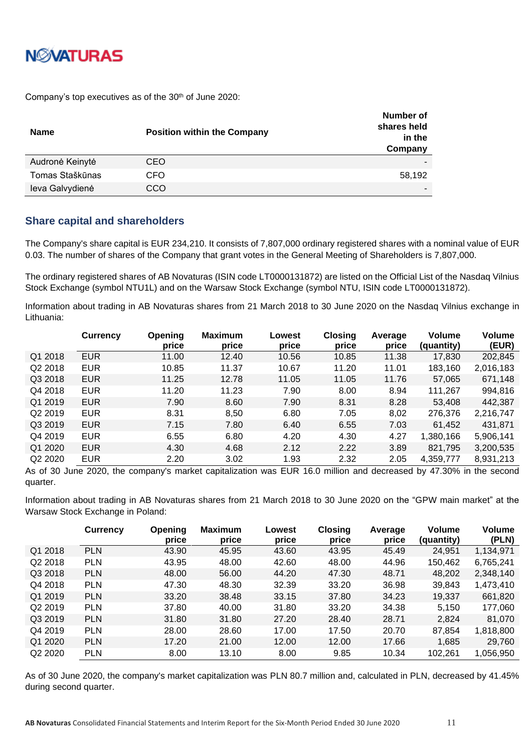

Company's top executives as of the 30<sup>th</sup> of June 2020:

| Name            | <b>Position within the Company</b> | Number of<br>shares held<br>in the<br>Company |
|-----------------|------------------------------------|-----------------------------------------------|
| Audronė Keinytė | CEO                                |                                               |
| Tomas Staškūnas | CFO                                | 58,192                                        |
| leva Galvydienė | CCO                                |                                               |

### <span id="page-10-0"></span>**Share capital and shareholders**

The Company's share capital is EUR 234,210. It consists of 7,807,000 ordinary registered shares with a nominal value of EUR 0.03. The number of shares of the Company that grant votes in the General Meeting of Shareholders is 7,807,000.

The ordinary registered shares of AB Novaturas (ISIN code LT0000131872) are listed on the Official List of the Nasdaq Vilnius Stock Exchange (symbol NTU1L) and on the Warsaw Stock Exchange (symbol NTU, ISIN code LT0000131872).

Information about trading in AB Novaturas shares from 21 March 2018 to 30 June 2020 on the Nasdaq Vilnius exchange in Lithuania:

|                     | <b>Currency</b> | Opening<br>price | <b>Maximum</b><br>price | Lowest<br>price | <b>Closing</b><br>price | Average<br>price | <b>Volume</b><br>(quantity) | <b>Volume</b><br>(EUR) |
|---------------------|-----------------|------------------|-------------------------|-----------------|-------------------------|------------------|-----------------------------|------------------------|
| Q1 2018             | <b>EUR</b>      | 11.00            | 12.40                   | 10.56           | 10.85                   | 11.38            | 17,830                      | 202,845                |
| Q2 2018             | <b>EUR</b>      | 10.85            | 11.37                   | 10.67           | 11.20                   | 11.01            | 183,160                     | 2,016,183              |
| Q3 2018             | <b>EUR</b>      | 11.25            | 12.78                   | 11.05           | 11.05                   | 11.76            | 57,065                      | 671,148                |
| Q4 2018             | <b>EUR</b>      | 11.20            | 11.23                   | 7.90            | 8.00                    | 8.94             | 111,267                     | 994,816                |
| Q1 2019             | <b>EUR</b>      | 7.90             | 8.60                    | 7.90            | 8.31                    | 8.28             | 53,408                      | 442,387                |
| Q <sub>2</sub> 2019 | <b>EUR</b>      | 8.31             | 8,50                    | 6.80            | 7.05                    | 8,02             | 276,376                     | 2,216,747              |
| Q3 2019             | <b>EUR</b>      | 7.15             | 7.80                    | 6.40            | 6.55                    | 7.03             | 61,452                      | 431,871                |
| Q4 2019             | <b>EUR</b>      | 6.55             | 6.80                    | 4.20            | 4.30                    | 4.27             | 1,380,166                   | 5,906,141              |
| Q1 2020             | <b>EUR</b>      | 4.30             | 4.68                    | 2.12            | 2.22                    | 3.89             | 821,795                     | 3,200,535              |
| Q2 2020             | <b>EUR</b>      | 2.20             | 3.02                    | 1.93            | 2.32                    | 2.05             | 4,359,777                   | 8,931,213              |

As of 30 June 2020, the company's market capitalization was EUR 16.0 million and decreased by 47.30% in the second quarter.

Information about trading in AB Novaturas shares from 21 March 2018 to 30 June 2020 on the "GPW main market" at the Warsaw Stock Exchange in Poland:

|         | <b>Currency</b> | <b>Opening</b><br>price | <b>Maximum</b><br>price | Lowest<br>price | <b>Closing</b><br>price | Average<br>price | Volume<br>(quantity) | <b>Volume</b><br>(PLN) |
|---------|-----------------|-------------------------|-------------------------|-----------------|-------------------------|------------------|----------------------|------------------------|
| Q1 2018 | <b>PLN</b>      | 43.90                   | 45.95                   | 43.60           | 43.95                   | 45.49            | 24,951               | 1,134,971              |
| Q2 2018 | <b>PLN</b>      | 43.95                   | 48.00                   | 42.60           | 48.00                   | 44.96            | 150,462              | 6,765,241              |
| Q3 2018 | <b>PLN</b>      | 48.00                   | 56.00                   | 44.20           | 47.30                   | 48.71            | 48,202               | 2,348,140              |
| Q4 2018 | <b>PLN</b>      | 47.30                   | 48.30                   | 32.39           | 33.20                   | 36.98            | 39,843               | 1,473,410              |
| Q1 2019 | <b>PLN</b>      | 33.20                   | 38.48                   | 33.15           | 37.80                   | 34.23            | 19,337               | 661,820                |
| Q2 2019 | <b>PLN</b>      | 37.80                   | 40.00                   | 31.80           | 33.20                   | 34.38            | 5,150                | 177,060                |
| Q3 2019 | <b>PLN</b>      | 31.80                   | 31.80                   | 27.20           | 28.40                   | 28.71            | 2,824                | 81,070                 |
| Q4 2019 | <b>PLN</b>      | 28.00                   | 28.60                   | 17.00           | 17.50                   | 20.70            | 87,854               | 1,818,800              |
| Q1 2020 | <b>PLN</b>      | 17.20                   | 21.00                   | 12.00           | 12.00                   | 17.66            | 1,685                | 29,760                 |
| Q2 2020 | <b>PLN</b>      | 8.00                    | 13.10                   | 8.00            | 9.85                    | 10.34            | 102,261              | 1,056,950              |

As of 30 June 2020, the company's market capitalization was PLN 80.7 million and, calculated in PLN, decreased by 41.45% during second quarter.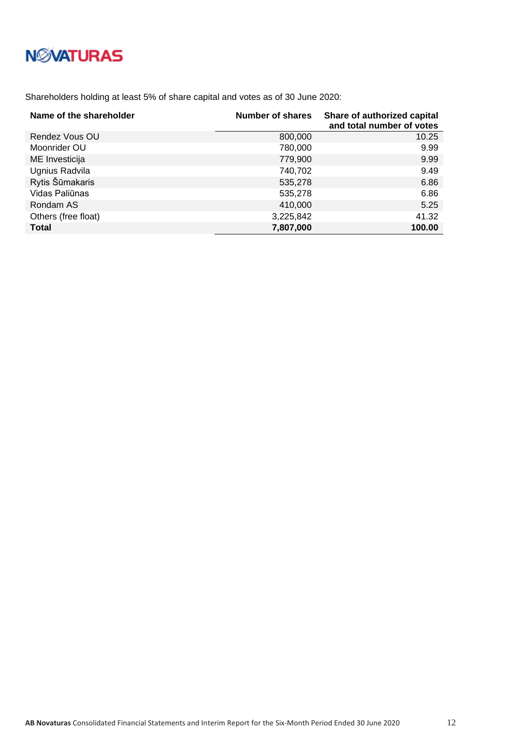# **NMATURAS**

Shareholders holding at least 5% of share capital and votes as of 30 June 2020:

| Name of the shareholder | Number of shares | Share of authorized capital<br>and total number of votes |
|-------------------------|------------------|----------------------------------------------------------|
| Rendez Vous OU          | 800,000          | 10.25                                                    |
| Moonrider OU            | 780,000          | 9.99                                                     |
| ME Investicija          | 779,900          | 9.99                                                     |
| Ugnius Radvila          | 740,702          | 9.49                                                     |
| Rytis Šūmakaris         | 535,278          | 6.86                                                     |
| Vidas Paliūnas          | 535,278          | 6.86                                                     |
| Rondam AS               | 410,000          | 5.25                                                     |
| Others (free float)     | 3,225,842        | 41.32                                                    |
| <b>Total</b>            | 7,807,000        | 100.00                                                   |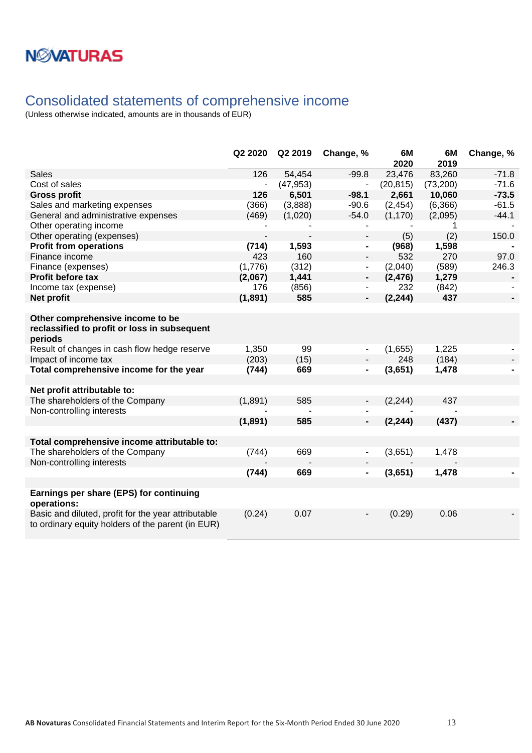# **NWATURAS**

## <span id="page-12-0"></span>Consolidated statements of comprehensive income

|                                                                                                          | Q2 2020                  | Q2 2019   | Change, %                | 6M<br>2020 | 6M<br>2019 | Change, % |
|----------------------------------------------------------------------------------------------------------|--------------------------|-----------|--------------------------|------------|------------|-----------|
| <b>Sales</b>                                                                                             | 126                      | 54,454    | $-99.8$                  | 23,476     | 83,260     | $-71.8$   |
| Cost of sales                                                                                            |                          | (47, 953) |                          | (20, 815)  | (73, 200)  | $-71.6$   |
| <b>Gross profit</b>                                                                                      | 126                      | 6,501     | $-98.1$                  | 2,661      | 10,060     | $-73.5$   |
| Sales and marketing expenses                                                                             | (366)                    | (3,888)   | $-90.6$                  | (2, 454)   | (6, 366)   | $-61.5$   |
| General and administrative expenses                                                                      | (469)                    | (1,020)   | $-54.0$                  | (1, 170)   | (2,095)    | $-44.1$   |
| Other operating income                                                                                   |                          |           |                          |            | 1          |           |
| Other operating (expenses)                                                                               | $\overline{\phantom{a}}$ |           | $\overline{\phantom{a}}$ | (5)        | (2)        | 150.0     |
| <b>Profit from operations</b>                                                                            | (714)                    | 1,593     | $\blacksquare$           | (968)      | 1,598      |           |
| Finance income                                                                                           | 423                      | 160       | $\blacksquare$           | 532        | 270        | 97.0      |
| Finance (expenses)                                                                                       | (1,776)                  | (312)     | $\blacksquare$           | (2,040)    | (589)      | 246.3     |
| Profit before tax                                                                                        | (2,067)                  | 1,441     | ٠                        | (2, 476)   | 1,279      |           |
| Income tax (expense)                                                                                     | 176                      | (856)     |                          | 232        | (842)      |           |
| Net profit                                                                                               | (1, 891)                 | 585       |                          | (2, 244)   | 437        |           |
|                                                                                                          |                          |           |                          |            |            |           |
| Other comprehensive income to be<br>reclassified to profit or loss in subsequent<br>periods              |                          |           |                          |            |            |           |
| Result of changes in cash flow hedge reserve                                                             | 1,350                    | 99        |                          | (1,655)    | 1,225      |           |
| Impact of income tax                                                                                     | (203)                    | (15)      |                          | 248        | (184)      |           |
| Total comprehensive income for the year                                                                  | (744)                    | 669       | $\blacksquare$           | (3,651)    | 1,478      |           |
|                                                                                                          |                          |           |                          |            |            |           |
| Net profit attributable to:                                                                              |                          |           |                          |            |            |           |
| The shareholders of the Company                                                                          | (1,891)                  | 585       |                          | (2, 244)   | 437        |           |
| Non-controlling interests                                                                                |                          |           |                          |            |            |           |
|                                                                                                          | (1,891)                  | 585       |                          | (2, 244)   | (437)      |           |
|                                                                                                          |                          |           |                          |            |            |           |
| Total comprehensive income attributable to:                                                              |                          |           |                          |            |            |           |
| The shareholders of the Company                                                                          | (744)                    | 669       |                          | (3,651)    | 1,478      |           |
| Non-controlling interests                                                                                |                          |           |                          |            |            |           |
|                                                                                                          | (744)                    | 669       |                          | (3,651)    | 1,478      |           |
|                                                                                                          |                          |           |                          |            |            |           |
| Earnings per share (EPS) for continuing<br>operations:                                                   |                          |           |                          |            |            |           |
| Basic and diluted, profit for the year attributable<br>to ordinary equity holders of the parent (in EUR) | (0.24)                   | 0.07      |                          | (0.29)     | 0.06       |           |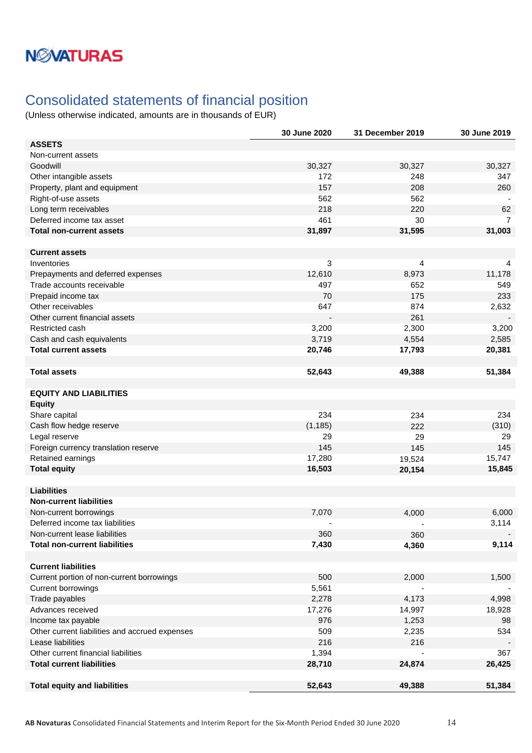# **NMATURAS**

## <span id="page-13-0"></span>Consolidated statements of financial position

|                                                | 30 June 2020 | 31 December 2019 | 30 June 2019   |
|------------------------------------------------|--------------|------------------|----------------|
| <b>ASSETS</b>                                  |              |                  |                |
| Non-current assets                             |              |                  |                |
| Goodwill                                       | 30,327       | 30,327           | 30,327         |
| Other intangible assets                        | 172          | 248              | 347            |
| Property, plant and equipment                  | 157          | 208              | 260            |
| Right-of-use assets                            | 562          | 562              |                |
| Long term receivables                          | 218          | 220              | 62             |
| Deferred income tax asset                      | 461          | 30               | $\overline{7}$ |
| <b>Total non-current assets</b>                | 31,897       | 31,595           | 31,003         |
|                                                |              |                  |                |
| <b>Current assets</b>                          |              |                  |                |
| Inventories                                    | 3            | 4                | 4              |
| Prepayments and deferred expenses              | 12,610       | 8,973            | 11,178         |
| Trade accounts receivable                      | 497          | 652              | 549            |
| Prepaid income tax                             | 70           | 175              | 233            |
| Other receivables                              | 647          | 874              | 2,632          |
| Other current financial assets                 |              | 261              |                |
| Restricted cash                                | 3,200        | 2,300            | 3,200          |
| Cash and cash equivalents                      | 3,719        | 4,554            | 2,585          |
| <b>Total current assets</b>                    | 20,746       | 17,793           | 20,381         |
|                                                |              |                  |                |
| <b>Total assets</b>                            | 52,643       | 49,388           | 51,384         |
|                                                |              |                  |                |
| <b>EQUITY AND LIABILITIES</b>                  |              |                  |                |
| <b>Equity</b>                                  |              |                  |                |
| Share capital                                  | 234          | 234              | 234            |
| Cash flow hedge reserve                        | (1, 185)     | 222              | (310)          |
| Legal reserve                                  | 29           | 29               | 29             |
| Foreign currency translation reserve           | 145          | 145              | 145            |
| Retained earnings                              | 17,280       | 19,524           | 15,747         |
| <b>Total equity</b>                            | 16,503       | 20,154           | 15,845         |
|                                                |              |                  |                |
| <b>Liabilities</b>                             |              |                  |                |
| <b>Non-current liabilities</b>                 |              |                  |                |
| Non-current borrowings                         | 7,070        | 4,000            | 6,000          |
| Deferred income tax liabilities                |              |                  | 3,114          |
| Non-current lease liabilities                  | 360          | 360              |                |
| <b>Total non-current liabilities</b>           | 7,430        | 4,360            | 9,114          |
|                                                |              |                  |                |
| <b>Current liabilities</b>                     |              |                  |                |
| Current portion of non-current borrowings      | 500          | 2,000            | 1,500          |
| <b>Current borrowings</b>                      | 5,561        |                  |                |
| Trade payables                                 | 2,278        | 4,173            | 4,998          |
| Advances received                              | 17,276       | 14,997           | 18,928         |
| Income tax payable                             | 976          | 1,253            | 98             |
| Other current liabilities and accrued expenses | 509          | 2,235            | 534            |
| Lease liabilities                              | 216          | 216              |                |
| Other current financial liabilities            | 1,394        |                  | 367            |
| <b>Total current liabilities</b>               | 28,710       | 24,874           | 26,425         |
|                                                |              |                  |                |
| <b>Total equity and liabilities</b>            | 52,643       | 49,388           | 51,384         |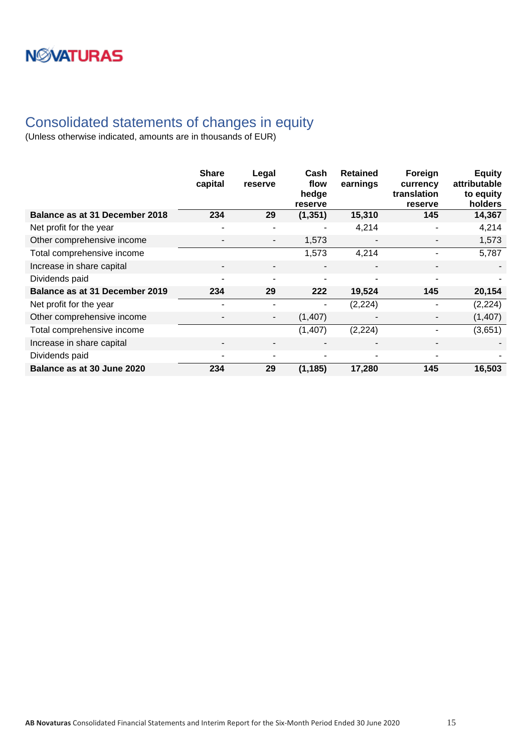# **NWATURAS**

## <span id="page-14-0"></span>Consolidated statements of changes in equity

|                                | <b>Share</b><br>capital  | Legal<br>reserve         | Cash<br>flow<br>hedge<br>reserve | <b>Retained</b><br>earnings | Foreign<br>currency<br>translation<br>reserve | <b>Equity</b><br>attributable<br>to equity<br>holders |
|--------------------------------|--------------------------|--------------------------|----------------------------------|-----------------------------|-----------------------------------------------|-------------------------------------------------------|
| Balance as at 31 December 2018 | 234                      | 29                       | (1, 351)                         | 15,310                      | 145                                           | 14,367                                                |
| Net profit for the year        | $\overline{a}$           | $\overline{a}$           | $\overline{a}$                   | 4,214                       |                                               | 4,214                                                 |
| Other comprehensive income     |                          | $\overline{\phantom{a}}$ | 1,573                            |                             |                                               | 1,573                                                 |
| Total comprehensive income     |                          |                          | 1,573                            | 4,214                       |                                               | 5,787                                                 |
| Increase in share capital      | $\overline{\phantom{0}}$ | $\overline{\phantom{0}}$ | $\overline{\phantom{0}}$         | ٠                           | -                                             |                                                       |
| Dividends paid                 | $\blacksquare$           | $\blacksquare$           | $\overline{a}$                   | ٠                           | ۰                                             |                                                       |
| Balance as at 31 December 2019 | 234                      | 29                       | 222                              | 19,524                      | 145                                           | 20,154                                                |
| Net profit for the year        |                          |                          |                                  | (2, 224)                    |                                               | (2, 224)                                              |
| Other comprehensive income     | $\overline{\phantom{0}}$ | $\overline{\phantom{a}}$ | (1,407)                          |                             |                                               | (1,407)                                               |
| Total comprehensive income     |                          |                          | (1, 407)                         | (2, 224)                    |                                               | (3,651)                                               |
| Increase in share capital      | $\overline{\phantom{a}}$ | $\overline{\phantom{0}}$ |                                  |                             |                                               |                                                       |
| Dividends paid                 | $\overline{a}$           | $\overline{a}$           | $\overline{a}$                   | ٠                           |                                               |                                                       |
| Balance as at 30 June 2020     | 234                      | 29                       | (1, 185)                         | 17,280                      | 145                                           | 16,503                                                |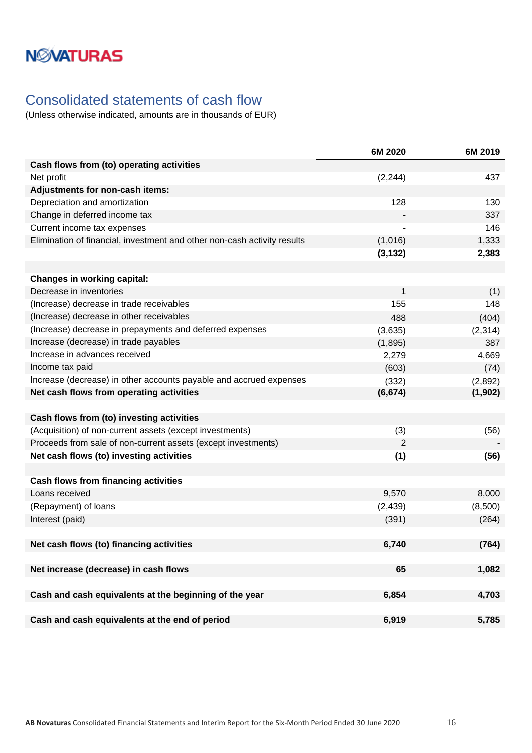# **NMATURAS**

## <span id="page-15-0"></span>Consolidated statements of cash flow

|                                                                          | 6M 2020  | 6M 2019  |
|--------------------------------------------------------------------------|----------|----------|
| Cash flows from (to) operating activities                                |          |          |
| Net profit                                                               | (2, 244) | 437      |
| Adjustments for non-cash items:                                          |          |          |
| Depreciation and amortization                                            | 128      | 130      |
| Change in deferred income tax                                            |          | 337      |
| Current income tax expenses                                              |          | 146      |
| Elimination of financial, investment and other non-cash activity results | (1,016)  | 1,333    |
|                                                                          | (3, 132) | 2,383    |
|                                                                          |          |          |
| <b>Changes in working capital:</b>                                       |          |          |
| Decrease in inventories                                                  | 1        | (1)      |
| (Increase) decrease in trade receivables                                 | 155      | 148      |
| (Increase) decrease in other receivables                                 | 488      | (404)    |
| (Increase) decrease in prepayments and deferred expenses                 | (3,635)  | (2, 314) |
| Increase (decrease) in trade payables                                    | (1,895)  | 387      |
| Increase in advances received                                            | 2,279    | 4,669    |
| Income tax paid                                                          | (603)    | (74)     |
| Increase (decrease) in other accounts payable and accrued expenses       | (332)    | (2,892)  |
| Net cash flows from operating activities                                 | (6, 674) | (1, 902) |
|                                                                          |          |          |
| Cash flows from (to) investing activities                                |          |          |
| (Acquisition) of non-current assets (except investments)                 | (3)      | (56)     |
| Proceeds from sale of non-current assets (except investments)            | 2        |          |
| Net cash flows (to) investing activities                                 | (1)      | (56)     |
|                                                                          |          |          |
| <b>Cash flows from financing activities</b>                              |          |          |
| Loans received                                                           | 9,570    | 8,000    |
| (Repayment) of loans                                                     | (2, 439) | (8,500)  |
| Interest (paid)                                                          | (391)    | (264)    |
|                                                                          |          |          |
| Net cash flows (to) financing activities                                 | 6,740    | (764)    |
|                                                                          |          |          |
| Net increase (decrease) in cash flows                                    | 65       | 1,082    |
|                                                                          |          |          |
| Cash and cash equivalents at the beginning of the year                   | 6,854    | 4,703    |
|                                                                          |          |          |
| Cash and cash equivalents at the end of period                           | 6,919    | 5,785    |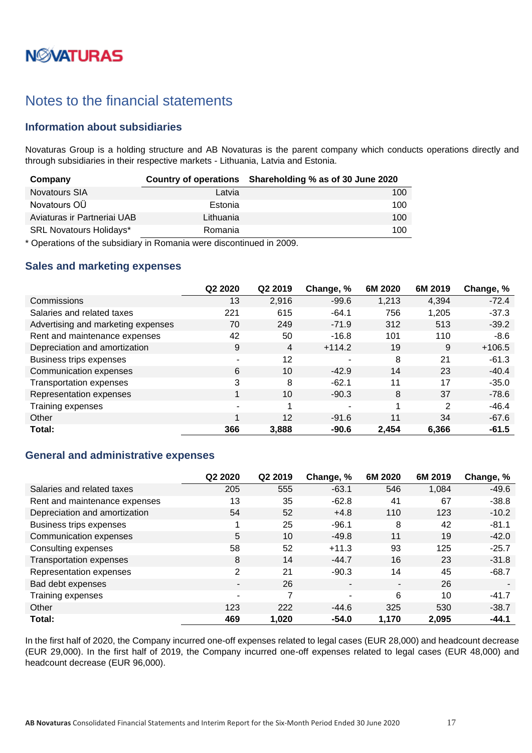# **N***N***XATURAS**

## <span id="page-16-0"></span>Notes to the financial statements

## <span id="page-16-1"></span>**Information about subsidiaries**

Novaturas Group is a holding structure and AB Novaturas is the parent company which conducts operations directly and through subsidiaries in their respective markets - Lithuania, Latvia and Estonia.

| Company                        |           | Country of operations Shareholding % as of 30 June 2020 |
|--------------------------------|-----------|---------------------------------------------------------|
| <b>Novatours SIA</b>           | Latvia    | 100                                                     |
| Novatours OÜ                   | Estonia   | 100                                                     |
| Aviaturas ir Partneriai UAB    | Lithuania | 100                                                     |
| <b>SRL Novatours Holidays*</b> | Romania   | 100                                                     |

\* Operations of the subsidiary in Romania were discontinued in 2009.

## <span id="page-16-2"></span>**Sales and marketing expenses**

|                                    | Q <sub>2</sub> 20 <sub>20</sub> | Q2 2019 | Change, %             | 6M 2020 | 6M 2019        | Change, % |
|------------------------------------|---------------------------------|---------|-----------------------|---------|----------------|-----------|
| Commissions                        | 13                              | 2,916   | $-99.6$               | 1,213   | 4,394          | $-72.4$   |
| Salaries and related taxes         | 221                             | 615     | $-64.1$               | 756     | 1,205          | $-37.3$   |
| Advertising and marketing expenses | 70                              | 249     | $-71.9$               | 312     | 513            | $-39.2$   |
| Rent and maintenance expenses      | 42                              | 50      | $-16.8$               | 101     | 110            | $-8.6$    |
| Depreciation and amortization      | 9                               | 4       | $+114.2$              | 19      | 9              | $+106.5$  |
| Business trips expenses            | ٠                               | 12      | ۰                     | 8       | 21             | $-61.3$   |
| Communication expenses             | 6                               | 10      | $-42.9$               | 14      | 23             | $-40.4$   |
| <b>Transportation expenses</b>     | 3                               | 8       | $-62.1$               | 11      | 17             | $-35.0$   |
| Representation expenses            | $\mathbf{1}$                    | 10      | $-90.3$               | 8       | 37             | $-78.6$   |
| Training expenses                  |                                 | 1       | $\tilde{\phantom{a}}$ |         | $\overline{2}$ | $-46.4$   |
| Other                              | 1                               | 12      | $-91.6$               | 11      | 34             | $-67.6$   |
| Total:                             | 366                             | 3,888   | $-90.6$               | 2,454   | 6,366          | $-61.5$   |

## <span id="page-16-3"></span>**General and administrative expenses**

|                               | Q2 2020 | Q2 2019 | Change, %      | 6M 2020 | 6M 2019 | Change, % |
|-------------------------------|---------|---------|----------------|---------|---------|-----------|
| Salaries and related taxes    | 205     | 555     | $-63.1$        | 546     | 1,084   | $-49.6$   |
| Rent and maintenance expenses | 13      | 35      | $-62.8$        | 41      | 67      | $-38.8$   |
| Depreciation and amortization | 54      | 52      | $+4.8$         | 110     | 123     | $-10.2$   |
| Business trips expenses       | и       | 25      | $-96.1$        | 8       | 42      | $-81.1$   |
| Communication expenses        | 5       | 10      | $-49.8$        | 11      | 19      | $-42.0$   |
| Consulting expenses           | 58      | 52      | $+11.3$        | 93      | 125     | $-25.7$   |
| Transportation expenses       | 8       | 14      | $-44.7$        | 16      | 23      | $-31.8$   |
| Representation expenses       | 2       | 21      | $-90.3$        | 14      | 45      | $-68.7$   |
| Bad debt expenses             | ۰       | 26      | $\blacksquare$ | ٠       | 26      |           |
| Training expenses             | ٠       | 7       | ٠              | 6       | 10      | $-41.7$   |
| Other                         | 123     | 222     | $-44.6$        | 325     | 530     | $-38.7$   |
| Total:                        | 469     | 1,020   | $-54.0$        | 1,170   | 2,095   | $-44.1$   |

In the first half of 2020, the Company incurred one-off expenses related to legal cases (EUR 28,000) and headcount decrease (EUR 29,000). In the first half of 2019, the Company incurred one-off expenses related to legal cases (EUR 48,000) and headcount decrease (EUR 96,000).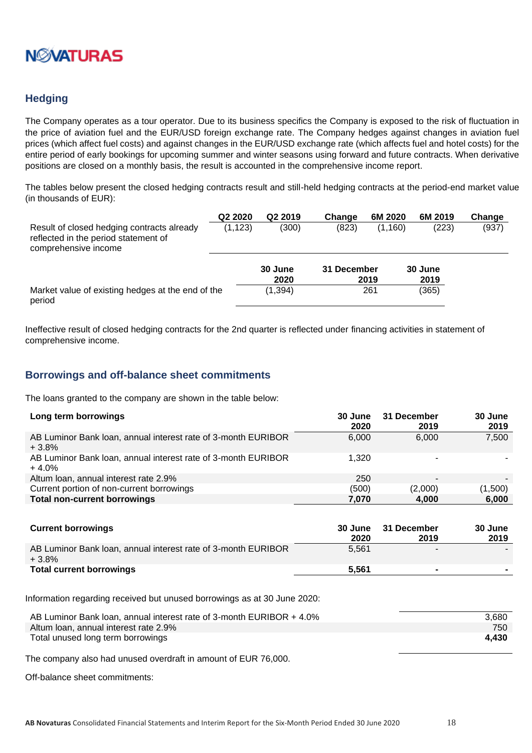

## <span id="page-17-0"></span>**Hedging**

The Company operates as a tour operator. Due to its business specifics the Company is exposed to the risk of fluctuation in the price of aviation fuel and the EUR/USD foreign exchange rate. The Company hedges against changes in aviation fuel prices (which affect fuel costs) and against changes in the EUR/USD exchange rate (which affects fuel and hotel costs) for the entire period of early bookings for upcoming summer and winter seasons using forward and future contracts. When derivative positions are closed on a monthly basis, the result is accounted in the comprehensive income report.

The tables below present the closed hedging contracts result and still-held hedging contracts at the period-end market value (in thousands of EUR):

|                                                                                                            | Q2 2020  | Q <sub>2</sub> 2019 | Change      | 6M 2020 | 6M 2019         | Change |
|------------------------------------------------------------------------------------------------------------|----------|---------------------|-------------|---------|-----------------|--------|
| Result of closed hedging contracts already<br>reflected in the period statement of<br>comprehensive income | (1, 123) | (300)               | (823)       | (1,160) | (223)           | (937)  |
|                                                                                                            |          | 30 June<br>2020     | 31 December | 2019    | 30 June<br>2019 |        |
| Market value of existing hedges at the end of the<br>period                                                |          | (1, 394)            |             | 261     | (365)           |        |

Ineffective result of closed hedging contracts for the 2nd quarter is reflected under financing activities in statement of comprehensive income.

### <span id="page-17-1"></span>**Borrowings and off-balance sheet commitments**

The loans granted to the company are shown in the table below:

| Long term borrowings                                                     | 30 June<br>2020 | 31 December<br>2019 | 30 June<br>2019 |
|--------------------------------------------------------------------------|-----------------|---------------------|-----------------|
| AB Luminor Bank Ioan, annual interest rate of 3-month EURIBOR<br>$+3.8%$ | 6.000           | 6.000               | 7,500           |
| AB Luminor Bank Ioan, annual interest rate of 3-month EURIBOR<br>$+4.0%$ | 1.320           |                     |                 |
| Altum Ioan, annual interest rate 2.9%                                    | 250             |                     |                 |
| Current portion of non-current borrowings                                | (500)           | (2,000)             | (1,500)         |
| <b>Total non-current borrowings</b>                                      | 7.070           | 4,000               | 6,000           |

| <b>Current borrowings</b>                                                | 30 June<br>2020 | 31 December<br>2019 | 30 June<br>2019 |
|--------------------------------------------------------------------------|-----------------|---------------------|-----------------|
| AB Luminor Bank Ioan, annual interest rate of 3-month EURIBOR<br>$+3.8%$ | 5.561           | -                   |                 |
| <b>Total current borrowings</b>                                          | 5.561           |                     |                 |

Information regarding received but unused borrowings as at 30 June 2020:

| AB Luminor Bank loan, annual interest rate of 3-month EURIBOR + 4.0% | 3.680 |
|----------------------------------------------------------------------|-------|
| Altum Ioan, annual interest rate 2.9%                                | 750   |
| Total unused long term borrowings                                    | 4.430 |

The company also had unused overdraft in amount of EUR 76,000.

Off-balance sheet commitments: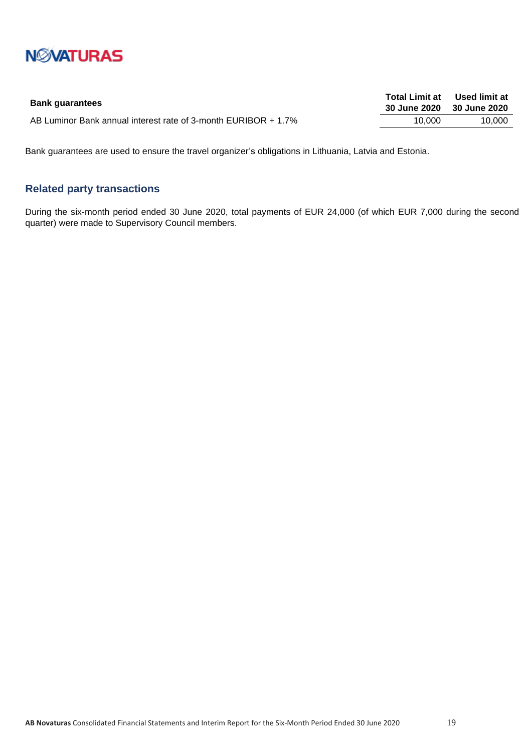

|        | Total Limit at Used limit at<br>30 June 2020 30 June 2020 |
|--------|-----------------------------------------------------------|
| 10.000 | 10.000                                                    |
|        |                                                           |

Bank guarantees are used to ensure the travel organizer's obligations in Lithuania, Latvia and Estonia.

## <span id="page-18-0"></span>**Related party transactions**

During the six-month period ended 30 June 2020, total payments of EUR 24,000 (of which EUR 7,000 during the second quarter) were made to Supervisory Council members.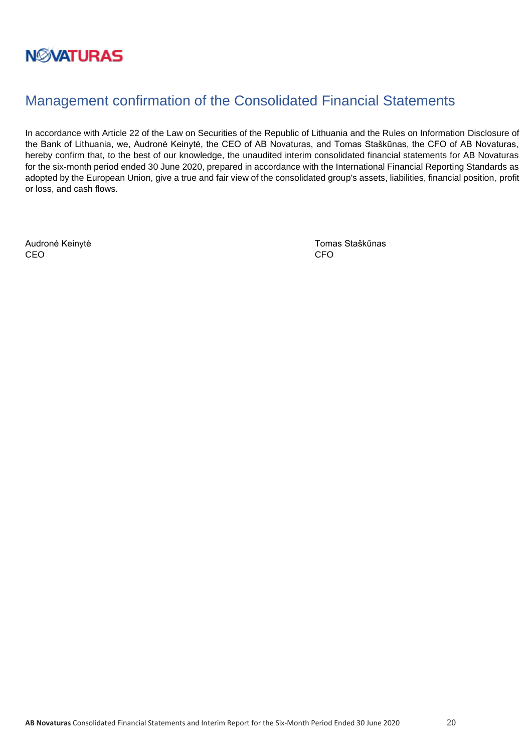

## <span id="page-19-0"></span>Management confirmation of the Consolidated Financial Statements

In accordance with Article 22 of the Law on Securities of the Republic of Lithuania and the Rules on Information Disclosure of the Bank of Lithuania, we, Audronė Keinytė, the CEO of AB Novaturas, and Tomas Staškūnas, the CFO of AB Novaturas, hereby confirm that, to the best of our knowledge, the unaudited interim consolidated financial statements for AB Novaturas for the six-month period ended 30 June 2020, prepared in accordance with the International Financial Reporting Standards as adopted by the European Union, give a true and fair view of the consolidated group's assets, liabilities, financial position, profit or loss, and cash flows.

CEO CEO CHE ANNO 1999, CHE ANNO 1999, CHE ANNO 1999, CHE ANNO 1999, CHE ANNO 1999, CHE ANNO 1999, CHE ANNO 199

Audronė Keinytė **Audronė Keinytė** Tomas Staškūnas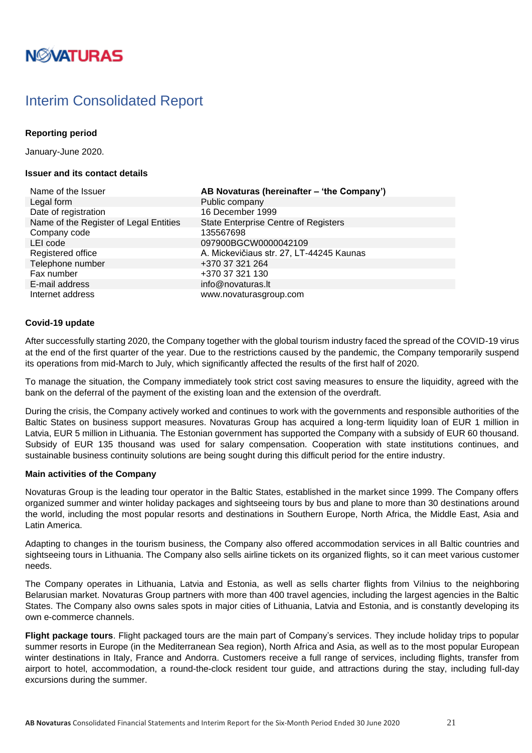# **NØVATURAS**

## <span id="page-20-0"></span>Interim Consolidated Report

### **Reporting period**

January-June 2020.

### **Issuer and its contact details**

| Name of the Issuer                     | <b>AB Novaturas (hereinafte</b> |
|----------------------------------------|---------------------------------|
| Legal form                             | Public company                  |
| Date of registration                   | 16 December 1999                |
| Name of the Register of Legal Entities | State Enterprise Centre of      |
| Company code                           | 135567698                       |
| LEI code                               | 097900BGCW0000042109            |
| Registered office                      | A. Mickevičiaus str. 27, LT     |
| Telephone number                       | +370 37 321 264                 |
| Fax number                             | +370 37 321 130                 |
| E-mail address                         | info@novaturas.lt               |
| Internet address                       | www.novaturasgroup.com          |

Name of the Issuer **AB Novaturas (hereinafter – 'the Company')** Public company 16 December 1999 State Enterprise Centre of Registers Company code 135567698 097900BGCW0000042109 A. Mickevičiaus str. 27, LT-44245 Kaunas Telephone number +370 37 321 264 +370 37 321 130  $info@nowaturas.$ 

### **Covid-19 update**

After successfully starting 2020, the Company together with the global tourism industry faced the spread of the COVID-19 virus at the end of the first quarter of the year. Due to the restrictions caused by the pandemic, the Company temporarily suspend its operations from mid-March to July, which significantly affected the results of the first half of 2020.

To manage the situation, the Company immediately took strict cost saving measures to ensure the liquidity, agreed with the bank on the deferral of the payment of the existing loan and the extension of the overdraft.

During the crisis, the Company actively worked and continues to work with the governments and responsible authorities of the Baltic States on business support measures. Novaturas Group has acquired a long-term liquidity loan of EUR 1 million in Latvia, EUR 5 million in Lithuania. The Estonian government has supported the Company with a subsidy of EUR 60 thousand. Subsidy of EUR 135 thousand was used for salary compensation. Cooperation with state institutions continues, and sustainable business continuity solutions are being sought during this difficult period for the entire industry.

### **Main activities of the Company**

Novaturas Group is the leading tour operator in the Baltic States, established in the market since 1999. The Company offers organized summer and winter holiday packages and sightseeing tours by bus and plane to more than 30 destinations around the world, including the most popular resorts and destinations in Southern Europe, North Africa, the Middle East, Asia and Latin America.

Adapting to changes in the tourism business, the Company also offered accommodation services in all Baltic countries and sightseeing tours in Lithuania. The Company also sells airline tickets on its organized flights, so it can meet various customer needs.

The Company operates in Lithuania, Latvia and Estonia, as well as sells charter flights from Vilnius to the neighboring Belarusian market. Novaturas Group partners with more than 400 travel agencies, including the largest agencies in the Baltic States. The Company also owns sales spots in major cities of Lithuania, Latvia and Estonia, and is constantly developing its own e-commerce channels.

**Flight package tours**. Flight packaged tours are the main part of Company's services. They include holiday trips to popular summer resorts in Europe (in the Mediterranean Sea region), North Africa and Asia, as well as to the most popular European winter destinations in Italy, France and Andorra. Customers receive a full range of services, including flights, transfer from airport to hotel, accommodation, a round-the-clock resident tour guide, and attractions during the stay, including full-day excursions during the summer.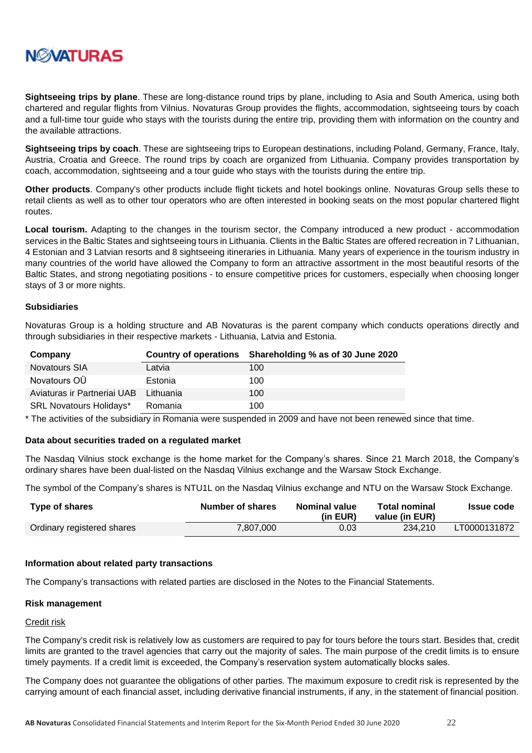

**Sightseeing trips by plane**. These are long-distance round trips by plane, including to Asia and South America, using both chartered and regular flights from Vilnius. Novaturas Group provides the flights, accommodation, sightseeing tours by coach and a full-time tour guide who stays with the tourists during the entire trip, providing them with information on the country and the available attractions.

**Sightseeing trips by coach**. These are sightseeing trips to European destinations, including Poland, Germany, France, Italy, Austria, Croatia and Greece. The round trips by coach are organized from Lithuania. Company provides transportation by coach, accommodation, sightseeing and a tour guide who stays with the tourists during the entire trip.

**Other products**. Company's other products include flight tickets and hotel bookings online. Novaturas Group sells these to retail clients as well as to other tour operators who are often interested in booking seats on the most popular chartered flight routes.

**Local tourism.** Adapting to the changes in the tourism sector, the Company introduced a new product - accommodation services in the Baltic States and sightseeing tours in Lithuania. Clients in the Baltic States are offered recreation in 7 Lithuanian, 4 Estonian and 3 Latvian resorts and 8 sightseeing itineraries in Lithuania. Many years of experience in the tourism industry in many countries of the world have allowed the Company to form an attractive assortment in the most beautiful resorts of the Baltic States, and strong negotiating positions - to ensure competitive prices for customers, especially when choosing longer stays of 3 or more nights.

### **Subsidiaries**

Novaturas Group is a holding structure and AB Novaturas is the parent company which conducts operations directly and through subsidiaries in their respective markets - Lithuania, Latvia and Estonia.

| Company                        |           | Country of operations Shareholding % as of 30 June 2020 |
|--------------------------------|-----------|---------------------------------------------------------|
| <b>Novatours SIA</b>           | Latvia    | 100                                                     |
| Novatours OÜ                   | Estonia   | 100                                                     |
| Aviaturas ir Partneriai UAB    | Lithuania | 100                                                     |
| <b>SRL Novatours Holidays*</b> | Romania   | 100                                                     |

\* The activities of the subsidiary in Romania were suspended in 2009 and have not been renewed since that time.

### **Data about securities traded on a regulated market**

The Nasdaq Vilnius stock exchange is the home market for the Company's shares. Since 21 March 2018, the Company's ordinary shares have been dual-listed on the Nasdaq Vilnius exchange and the Warsaw Stock Exchange.

The symbol of the Company's shares is NTU1L on the Nasdaq Vilnius exchange and NTU on the Warsaw Stock Exchange.

| Type of shares             | Number of shares | <b>Nominal value</b><br>(in EUR) | <b>Total nominal</b><br>value (in EUR) | <b>Issue code</b> |
|----------------------------|------------------|----------------------------------|----------------------------------------|-------------------|
| Ordinary registered shares | 7.807.000        | 0.03                             | 234.210                                | LT0000131872      |

### **Information about related party transactions**

The Company's transactions with related parties are disclosed in the Notes to the Financial Statements.

#### **Risk management**

#### Credit risk

The Company's credit risk is relatively low as customers are required to pay for tours before the tours start. Besides that, credit limits are granted to the travel agencies that carry out the majority of sales. The main purpose of the credit limits is to ensure timely payments. If a credit limit is exceeded, the Company's reservation system automatically blocks sales.

The Company does not guarantee the obligations of other parties. The maximum exposure to credit risk is represented by the carrying amount of each financial asset, including derivative financial instruments, if any, in the statement of financial position.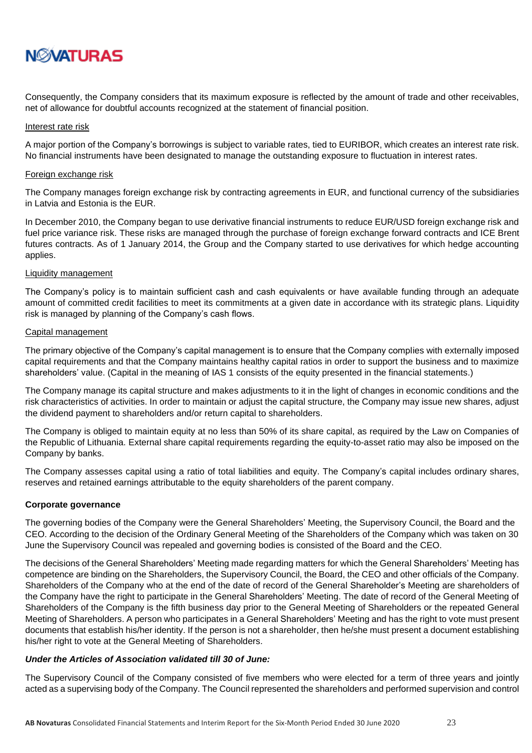

Consequently, the Company considers that its maximum exposure is reflected by the amount of trade and other receivables, net of allowance for doubtful accounts recognized at the statement of financial position.

#### Interest rate risk

A major portion of the Company's borrowings is subject to variable rates, tied to EURIBOR, which creates an interest rate risk. No financial instruments have been designated to manage the outstanding exposure to fluctuation in interest rates.

#### Foreign exchange risk

The Company manages foreign exchange risk by contracting agreements in EUR, and functional currency of the subsidiaries in Latvia and Estonia is the EUR.

In December 2010, the Company began to use derivative financial instruments to reduce EUR/USD foreign exchange risk and fuel price variance risk. These risks are managed through the purchase of foreign exchange forward contracts and ICE Brent futures contracts. As of 1 January 2014, the Group and the Company started to use derivatives for which hedge accounting applies.

### Liquidity management

The Company's policy is to maintain sufficient cash and cash equivalents or have available funding through an adequate amount of committed credit facilities to meet its commitments at a given date in accordance with its strategic plans. Liquidity risk is managed by planning of the Company's cash flows.

### Capital management

The primary objective of the Company's capital management is to ensure that the Company complies with externally imposed capital requirements and that the Company maintains healthy capital ratios in order to support the business and to maximize shareholders' value. (Capital in the meaning of IAS 1 consists of the equity presented in the financial statements.)

The Company manage its capital structure and makes adjustments to it in the light of changes in economic conditions and the risk characteristics of activities. In order to maintain or adjust the capital structure, the Company may issue new shares, adjust the dividend payment to shareholders and/or return capital to shareholders.

The Company is obliged to maintain equity at no less than 50% of its share capital, as required by the Law on Companies of the Republic of Lithuania. External share capital requirements regarding the equity-to-asset ratio may also be imposed on the Company by banks.

The Company assesses capital using a ratio of total liabilities and equity. The Company's capital includes ordinary shares, reserves and retained earnings attributable to the equity shareholders of the parent company.

### **Corporate governance**

The governing bodies of the Company were the General Shareholders' Meeting, the Supervisory Council, the Board and the CEO. According to the decision of the Ordinary General Meeting of the Shareholders of the Company which was taken on 30 June the Supervisory Council was repealed and governing bodies is consisted of the Board and the CEO.

The decisions of the General Shareholders' Meeting made regarding matters for which the General Shareholders' Meeting has competence are binding on the Shareholders, the Supervisory Council, the Board, the CEO and other officials of the Company. Shareholders of the Company who at the end of the date of record of the General Shareholder's Meeting are shareholders of the Company have the right to participate in the General Shareholders' Meeting. The date of record of the General Meeting of Shareholders of the Company is the fifth business day prior to the General Meeting of Shareholders or the repeated General Meeting of Shareholders. A person who participates in a General Shareholders' Meeting and has the right to vote must present documents that establish his/her identity. If the person is not a shareholder, then he/she must present a document establishing his/her right to vote at the General Meeting of Shareholders.

### *Under the Articles of Association validated till 30 of June:*

The Supervisory Council of the Company consisted of five members who were elected for a term of three years and jointly acted as a supervising body of the Company. The Council represented the shareholders and performed supervision and control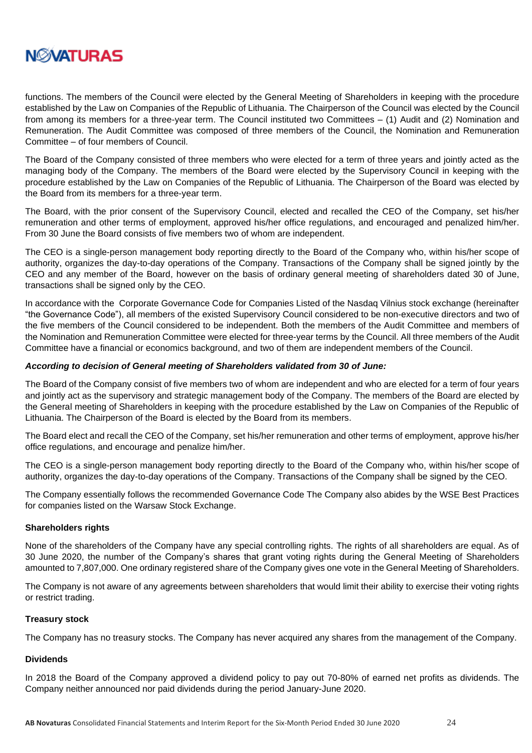

functions. The members of the Council were elected by the General Meeting of Shareholders in keeping with the procedure established by the Law on Companies of the Republic of Lithuania. The Chairperson of the Council was elected by the Council from among its members for a three-year term. The Council instituted two Committees – (1) Audit and (2) Nomination and Remuneration. The Audit Committee was composed of three members of the Council, the Nomination and Remuneration Committee – of four members of Council.

The Board of the Company consisted of three members who were elected for a term of three years and jointly acted as the managing body of the Company. The members of the Board were elected by the Supervisory Council in keeping with the procedure established by the Law on Companies of the Republic of Lithuania. The Chairperson of the Board was elected by the Board from its members for a three-year term.

The Board, with the prior consent of the Supervisory Council, elected and recalled the CEO of the Company, set his/her remuneration and other terms of employment, approved his/her office regulations, and encouraged and penalized him/her. From 30 June the Board consists of five members two of whom are independent.

The CEO is a single-person management body reporting directly to the Board of the Company who, within his/her scope of authority, organizes the day-to-day operations of the Company. Transactions of the Company shall be signed jointly by the CEO and any member of the Board, however on the basis of ordinary general meeting of shareholders dated 30 of June, transactions shall be signed only by the CEO.

In accordance with the Corporate Governance Code for Companies Listed of the Nasdaq Vilnius stock exchange (hereinafter "the Governance Code"), all members of the existed Supervisory Council considered to be non-executive directors and two of the five members of the Council considered to be independent. Both the members of the Audit Committee and members of the Nomination and Remuneration Committee were elected for three-year terms by the Council. All three members of the Audit Committee have a financial or economics background, and two of them are independent members of the Council.

### *According to decision of General meeting of Shareholders validated from 30 of June:*

The Board of the Company consist of five members two of whom are independent and who are elected for a term of four years and jointly act as the supervisory and strategic management body of the Company. The members of the Board are elected by the General meeting of Shareholders in keeping with the procedure established by the Law on Companies of the Republic of Lithuania. The Chairperson of the Board is elected by the Board from its members.

The Board elect and recall the CEO of the Company, set his/her remuneration and other terms of employment, approve his/her office regulations, and encourage and penalize him/her.

The CEO is a single-person management body reporting directly to the Board of the Company who, within his/her scope of authority, organizes the day-to-day operations of the Company. Transactions of the Company shall be signed by the CEO.

The Company essentially follows the recommended Governance Code The Company also abides by the WSE Best Practices for companies listed on the Warsaw Stock Exchange.

### **Shareholders rights**

None of the shareholders of the Company have any special controlling rights. The rights of all shareholders are equal. As of 30 June 2020, the number of the Company's shares that grant voting rights during the General Meeting of Shareholders amounted to 7,807,000. One ordinary registered share of the Company gives one vote in the General Meeting of Shareholders.

The Company is not aware of any agreements between shareholders that would limit their ability to exercise their voting rights or restrict trading.

### **Treasury stock**

The Company has no treasury stocks. The Company has never acquired any shares from the management of the Company.

### **Dividends**

In 2018 the Board of the Company approved a dividend policy to pay out 70-80% of earned net profits as dividends. The Company neither announced nor paid dividends during the period January-June 2020.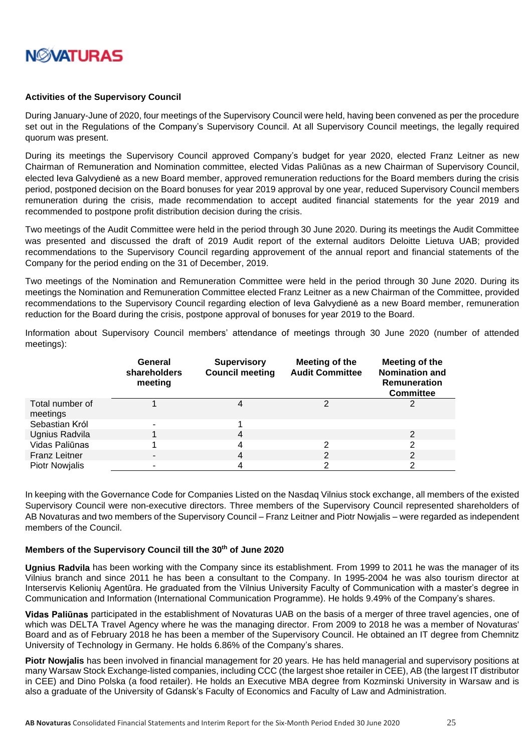

### **Activities of the Supervisory Council**

During January-June of 2020, four meetings of the Supervisory Council were held, having been convened as per the procedure set out in the Regulations of the Company's Supervisory Council. At all Supervisory Council meetings, the legally required quorum was present.

During its meetings the Supervisory Council approved Company's budget for year 2020, elected Franz Leitner as new Chairman of Remuneration and Nomination committee, elected Vidas Paliūnas as a new Chairman of Supervisory Council, elected Ieva Galvydienė as a new Board member, approved remuneration reductions for the Board members during the crisis period, postponed decision on the Board bonuses for year 2019 approval by one year, reduced Supervisory Council members remuneration during the crisis, made recommendation to accept audited financial statements for the year 2019 and recommended to postpone profit distribution decision during the crisis.

Two meetings of the Audit Committee were held in the period through 30 June 2020. During its meetings the Audit Committee was presented and discussed the draft of 2019 Audit report of the external auditors Deloitte Lietuva UAB; provided recommendations to the Supervisory Council regarding approvement of the annual report and financial statements of the Company for the period ending on the 31 of December, 2019.

Two meetings of the Nomination and Remuneration Committee were held in the period through 30 June 2020. During its meetings the Nomination and Remuneration Committee elected Franz Leitner as a new Chairman of the Committee, provided recommendations to the Supervisory Council regarding election of Ieva Galvydienė as a new Board member, remuneration reduction for the Board during the crisis, postpone approval of bonuses for year 2019 to the Board.

Information about Supervisory Council members' attendance of meetings through 30 June 2020 (number of attended meetings):

|                             | General<br>shareholders<br>meeting | <b>Supervisory</b><br><b>Council meeting</b> | Meeting of the<br><b>Audit Committee</b> | Meeting of the<br><b>Nomination and</b><br><b>Remuneration</b><br><b>Committee</b> |
|-----------------------------|------------------------------------|----------------------------------------------|------------------------------------------|------------------------------------------------------------------------------------|
| Total number of<br>meetings |                                    |                                              | າ                                        |                                                                                    |
| Sebastian Król              |                                    |                                              |                                          |                                                                                    |
| Ugnius Radvila              |                                    | 4                                            |                                          | 2                                                                                  |
| Vidas Paliūnas              |                                    |                                              | 2                                        | ົ                                                                                  |
| <b>Franz Leitner</b>        |                                    | 4                                            | 2                                        |                                                                                    |
| <b>Piotr Nowjalis</b>       |                                    |                                              |                                          |                                                                                    |

In keeping with the Governance Code for Companies Listed on the Nasdaq Vilnius stock exchange, all members of the existed Supervisory Council were non-executive directors. Three members of the Supervisory Council represented shareholders of AB Novaturas and two members of the Supervisory Council – Franz Leitner and Piotr Nowjalis – were regarded as independent members of the Council.

### **Members of the Supervisory Council till the 30th of June 2020**

**Ugnius Radvila** has been working with the Company since its establishment. From 1999 to 2011 he was the manager of its Vilnius branch and since 2011 he has been a consultant to the Company. In 1995-2004 he was also tourism director at Interservis Kelionių Agentūra. He graduated from the Vilnius University Faculty of Communication with a master's degree in Communication and Information (International Communication Programme). He holds 9.49% of the Company's shares.

**Vidas Paliūnas** participated in the establishment of Novaturas UAB on the basis of a merger of three travel agencies, one of which was DELTA Travel Agency where he was the managing director. From 2009 to 2018 he was a member of Novaturas' Board and as of February 2018 he has been a member of the Supervisory Council. He obtained an IT degree from Chemnitz University of Technology in Germany. He holds 6.86% of the Company's shares.

**Piotr Nowjalis** has been involved in financial management for 20 years. He has held managerial and supervisory positions at many Warsaw Stock Exchange-listed companies, including CCC (the largest shoe retailer in CEE), AB (the largest IT distributor in CEE) and Dino Polska (a food retailer). He holds an Executive MBA degree from Kozminski University in Warsaw and is also a graduate of the University of Gdansk's Faculty of Economics and Faculty of Law and Administration.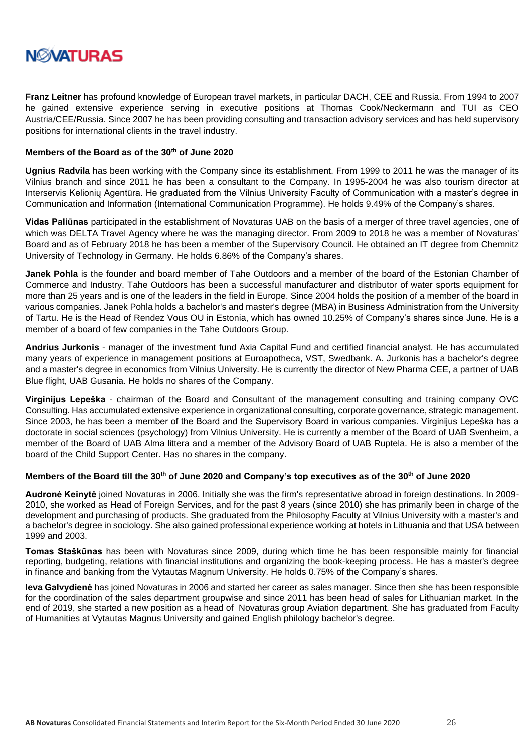

**Franz Leitner** has profound knowledge of European travel markets, in particular DACH, CEE and Russia. From 1994 to 2007 he gained extensive experience serving in executive positions at Thomas Cook/Neckermann and TUI as CEO Austria/CEE/Russia. Since 2007 he has been providing consulting and transaction advisory services and has held supervisory positions for international clients in the travel industry.

### **Members of the Board as of the 30th of June 2020**

**Ugnius Radvila** has been working with the Company since its establishment. From 1999 to 2011 he was the manager of its Vilnius branch and since 2011 he has been a consultant to the Company. In 1995-2004 he was also tourism director at Interservis Kelionių Agentūra. He graduated from the Vilnius University Faculty of Communication with a master's degree in Communication and Information (International Communication Programme). He holds 9.49% of the Company's shares.

**Vidas Paliūnas** participated in the establishment of Novaturas UAB on the basis of a merger of three travel agencies, one of which was DELTA Travel Agency where he was the managing director. From 2009 to 2018 he was a member of Novaturas' Board and as of February 2018 he has been a member of the Supervisory Council. He obtained an IT degree from Chemnitz University of Technology in Germany. He holds 6.86% of the Company's shares.

**Janek Pohla** is the founder and board member of Tahe Outdoors and a member of the board of the Estonian Chamber of Commerce and Industry. Tahe Outdoors has been a successful manufacturer and distributor of water sports equipment for more than 25 years and is one of the leaders in the field in Europe. Since 2004 holds the position of a member of the board in various companies. Janek Pohla holds a bachelor's and master's degree (MBA) in Business Administration from the University of Tartu. He is the Head of Rendez Vous OU in Estonia, which has owned 10.25% of Company's shares since June. He is a member of a board of few companies in the Tahe Outdoors Group.

**Andrius Jurkonis** - manager of the investment fund Axia Capital Fund and certified financial analyst. He has accumulated many years of experience in management positions at Euroapotheca, VST, Swedbank. A. Jurkonis has a bachelor's degree and a master's degree in economics from Vilnius University. He is currently the director of New Pharma CEE, a partner of UAB Blue flight, UAB Gusania. He holds no shares of the Company.

**Virginijus Lepeška** - chairman of the Board and Consultant of the management consulting and training company OVC Consulting. Has accumulated extensive experience in organizational consulting, corporate governance, strategic management. Since 2003, he has been a member of the Board and the Supervisory Board in various companies. Virginijus Lepeška has a doctorate in social sciences (psychology) from Vilnius University. He is currently a member of the Board of UAB Svenheim, a member of the Board of UAB Alma littera and a member of the Advisory Board of UAB Ruptela. He is also a member of the board of the Child Support Center. Has no shares in the company.

### **Members of the Board till the 30th of June 2020 and Company's top executives as of the 30th of June 2020**

**Audronė Keinytė** joined Novaturas in 2006. Initially she was the firm's representative abroad in foreign destinations. In 2009- 2010, she worked as Head of Foreign Services, and for the past 8 years (since 2010) she has primarily been in charge of the development and purchasing of products. She graduated from the Philosophy Faculty at Vilnius University with a master's and a bachelor's degree in sociology. She also gained professional experience working at hotels in Lithuania and that USA between 1999 and 2003.

**Tomas Staškūnas** has been with Novaturas since 2009, during which time he has been responsible mainly for financial reporting, budgeting, relations with financial institutions and organizing the book-keeping process. He has a master's degree in finance and banking from the Vytautas Magnum University. He holds 0.75% of the Company's shares.

**Ieva Galvydienė** has joined Novaturas in 2006 and started her career as sales manager. Since then she has been responsible for the coordination of the sales department groupwise and since 2011 has been head of sales for Lithuanian market. In the end of 2019, she started a new position as a head of Novaturas group Aviation department. She has graduated from Faculty of Humanities at Vytautas Magnus University and gained English philology bachelor's degree.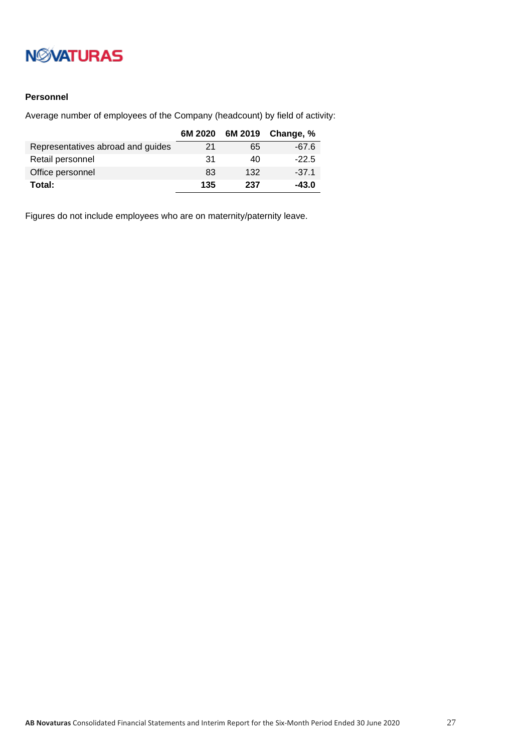# **NWATURAS**

## **Personnel**

Average number of employees of the Company (headcount) by field of activity:

|                                   | 6M 2020 |     | 6M 2019 Change, % |
|-----------------------------------|---------|-----|-------------------|
| Representatives abroad and guides | 21      | 65  | $-67.6$           |
| Retail personnel                  | -31     | 40  | $-22.5$           |
| Office personnel                  | 83      | 132 | $-37.1$           |
| Total:                            | 135     | 237 | $-43.0$           |

Figures do not include employees who are on maternity/paternity leave.